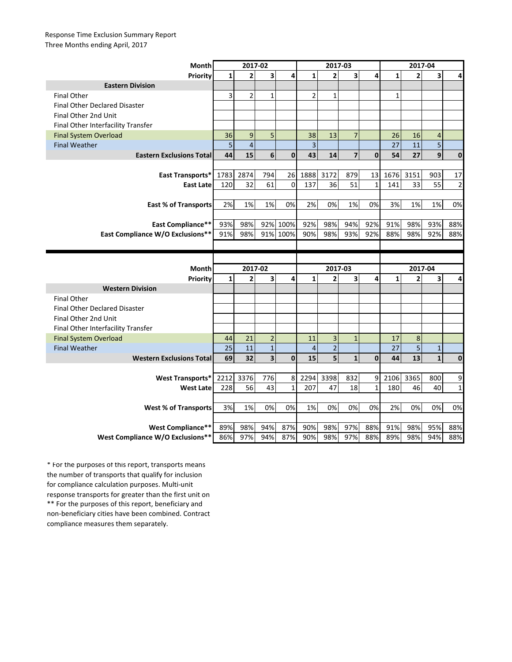## Response Time Exclusion Summary Report Three Months ending April, 2017

| Month                                                 | 2017-02      |                |                  |                | 2017-03        |                |                         |              | 2017-04      |                |                |                |
|-------------------------------------------------------|--------------|----------------|------------------|----------------|----------------|----------------|-------------------------|--------------|--------------|----------------|----------------|----------------|
| <b>Priority</b>                                       | $\mathbf{1}$ | $\overline{2}$ | 3                | 4              | $\mathbf{1}$   | $\overline{2}$ | $\overline{\mathbf{3}}$ | 4            | $\mathbf{1}$ | $\overline{2}$ | 3              | 4              |
| <b>Eastern Division</b>                               |              |                |                  |                |                |                |                         |              |              |                |                |                |
| <b>Final Other</b>                                    | 3            | $\overline{2}$ | $\mathbf{1}$     |                | $\overline{2}$ | $\mathbf{1}$   |                         |              | $\mathbf{1}$ |                |                |                |
| <b>Final Other Declared Disaster</b>                  |              |                |                  |                |                |                |                         |              |              |                |                |                |
| Final Other 2nd Unit                                  |              |                |                  |                |                |                |                         |              |              |                |                |                |
| Final Other Interfacility Transfer                    |              |                |                  |                |                |                |                         |              |              |                |                |                |
| <b>Final System Overload</b>                          | 36           | 9              | 5                |                | 38             | 13             | $\overline{7}$          |              | 26           | 16             | 4              |                |
| <b>Final Weather</b>                                  | 5            | $\sqrt{4}$     |                  |                | $\overline{3}$ |                |                         |              | 27           | 11             | $\overline{5}$ |                |
| <b>Eastern Exclusions Total</b>                       | 44           | 15             | $\boldsymbol{6}$ | $\mathbf{0}$   | 43             | 14             | $\overline{7}$          | $\mathbf{0}$ | 54           | 27             | 9              | $\mathbf 0$    |
|                                                       |              |                |                  |                |                |                |                         |              |              |                |                |                |
| East Transports*                                      | 1783         | 2874           | 794              | 26             | 1888           | 3172           | 879                     | 13           | 1676         | 3151           | 903            | 17             |
| <b>East Late</b>                                      | 120          | 32             | 61               | $\mathbf 0$    | 137            | 36             | 51                      | $\mathbf{1}$ | 141          | 33             | 55             | $\overline{2}$ |
|                                                       |              |                |                  |                |                |                |                         |              |              |                |                |                |
| <b>East % of Transports</b>                           | 2%           | 1%             | 1%               | 0%             | 2%             | 0%             | 1%                      | 0%           | 3%           | 1%             | 1%             | 0%             |
|                                                       |              |                |                  |                |                |                |                         |              |              |                |                |                |
| <b>East Compliance**</b>                              | 93%          | 98%            | 92%              | 100%           | 92%            | 98%            | 94%                     | 92%          | 91%          | 98%            | 93%            | 88%            |
| East Compliance W/O Exclusions**                      | 91%          | 98%            | 91%              | 100%           | 90%            | 98%            | 93%                     | 92%          | 88%          | 98%            | 92%            | 88%            |
|                                                       |              |                |                  |                |                |                |                         |              |              |                |                |                |
|                                                       |              |                |                  |                |                |                |                         |              |              |                |                |                |
|                                                       |              |                |                  |                |                |                |                         |              |              |                |                |                |
| Month                                                 |              | 2017-02        |                  |                |                | 2017-03        |                         |              |              | 2017-04        |                |                |
| Priority                                              | $\mathbf{1}$ | $\mathbf{2}$   | 3                | 4              | $\mathbf{1}$   | $\overline{2}$ | 3                       | 4            | $\mathbf{1}$ | $\overline{2}$ | 3              | 4              |
| <b>Western Division</b>                               |              |                |                  |                |                |                |                         |              |              |                |                |                |
| <b>Final Other</b>                                    |              |                |                  |                |                |                |                         |              |              |                |                |                |
| <b>Final Other Declared Disaster</b>                  |              |                |                  |                |                |                |                         |              |              |                |                |                |
| Final Other 2nd Unit                                  |              |                |                  |                |                |                |                         |              |              |                |                |                |
| Final Other Interfacility Transfer                    |              |                |                  |                |                |                |                         |              |              |                |                |                |
| <b>Final System Overload</b>                          | 44           | 21             | $\overline{2}$   |                | 11             | 3              | $\mathbf{1}$            |              | 17           | 8              |                |                |
| <b>Final Weather</b>                                  | 25           | 11             | $1\,$            |                | $\overline{4}$ | $\overline{a}$ |                         |              | 27           | $\overline{5}$ | $\mathbf{1}$   |                |
| <b>Western Exclusions Total</b>                       | 69           | 32             | 3                | $\mathbf{0}$   | 15             | 5              | $\mathbf{1}$            | $\mathbf{0}$ | 44           | 13             | $\mathbf{1}$   | $\mathbf{0}$   |
|                                                       |              |                |                  |                |                |                |                         |              |              |                |                |                |
| <b>West Transports*</b>                               | 2212         | 3376           | 776              | 8              | 2294           | 3398           | 832                     | 9            | 2106         | 3365           | 800            | 9              |
| <b>West Late</b>                                      | 228          | 56             | 43               | $\overline{1}$ | 207            | 47             | 18                      | $\mathbf{1}$ | 180          | 46             | 40             | $\mathbf 1$    |
|                                                       |              |                |                  |                |                |                |                         |              |              |                |                |                |
| <b>West % of Transports</b>                           | 3%           | 1%             | 0%               | 0%             | 1%             | 0%             | 0%                      | 0%           | 2%           | 0%             | 0%             | 0%             |
|                                                       |              |                |                  |                |                |                |                         |              |              |                |                |                |
| West Compliance**<br>West Compliance W/O Exclusions** | 89%<br>86%   | 98%<br>97%     | 94%<br>94%       | 87%<br>87%     | 90%<br>90%     | 98%<br>98%     | 97%<br>97%              | 88%<br>88%   | 91%<br>89%   | 98%<br>98%     | 95%<br>94%     | 88%<br>88%     |

\*\* For the purposes of this report, beneficiary and non-beneficiary cities have been combined. Contract compliance measures them separately. \* For the purposes of this report, transports means the number of transports that qualify for inclusion for compliance calculation purposes. Multi-unit response transports for greater than the first unit on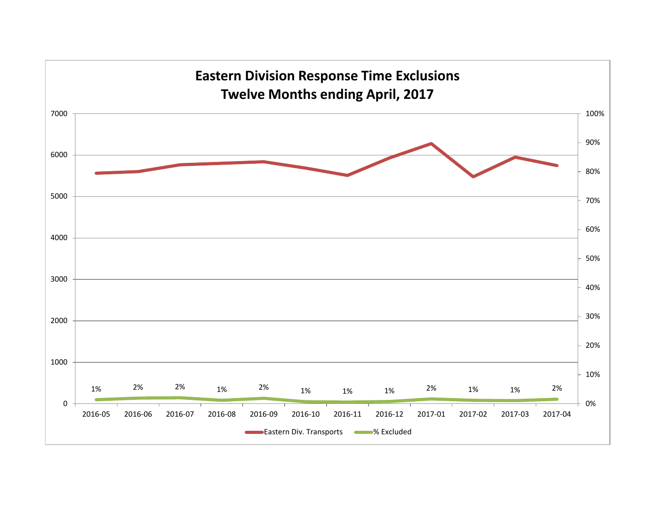